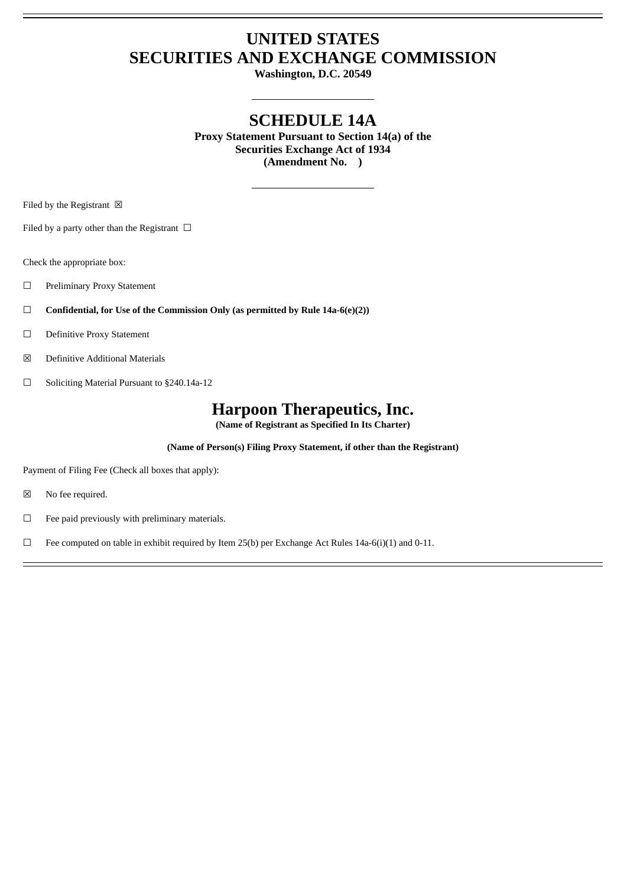# **UNITED STATES SECURITIES AND EXCHANGE COMMISSION**

**Washington, D.C. 20549**

## **SCHEDULE 14A**

**Proxy Statement Pursuant to Section 14(a) of the Securities Exchange Act of 1934 (Amendment No. )**

Filed by the Registrant  $\boxtimes$ 

Filed by a party other than the Registrant  $\Box$ 

Check the appropriate box:

- ☐ Preliminary Proxy Statement
- ☐ **Confidential, for Use of the Commission Only (as permitted by Rule 14a-6(e)(2))**
- ☐ Definitive Proxy Statement
- ☒ Definitive Additional Materials
- ☐ Soliciting Material Pursuant to §240.14a-12

### **Harpoon Therapeutics, Inc.**

**(Name of Registrant as Specified In Its Charter)**

**(Name of Person(s) Filing Proxy Statement, if other than the Registrant)**

Payment of Filing Fee (Check all boxes that apply):

- ☒ No fee required.
- ☐ Fee paid previously with preliminary materials.

□ Fee computed on table in exhibit required by Item 25(b) per Exchange Act Rules 14a-6(i)(1) and 0-11.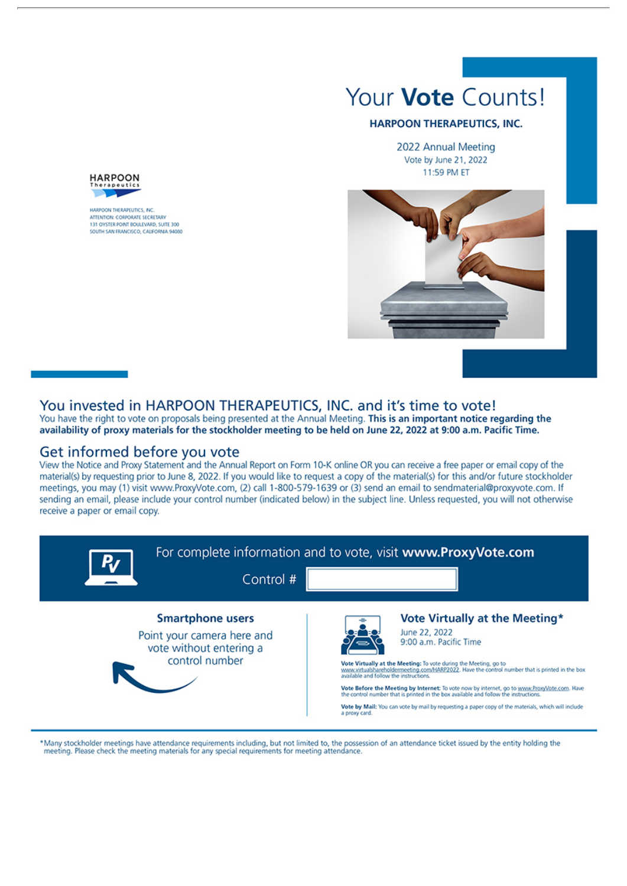

#### **HARPOON THERAPEUTICS, INC.**

2022 Annual Meeting Vote by June 21, 2022 11:59 PM ET





HARPOON THERAPEUTICS, INC. ATTENTION: CORRORATE SECRETARY 131 OYSTER FORT BOULEVARD, SUITE 300 SOUTH SAN FRANCISCO, CALIFORNIA 94080

### You invested in HARPOON THERAPEUTICS, INC. and it's time to vote!

You have the right to vote on proposals being presented at the Annual Meeting. This is an important notice regarding the availability of proxy materials for the stockholder meeting to be held on June 22, 2022 at 9:00 a.m. Pacific Time.

### Get informed before you vote

View the Notice and Proxy Statement and the Annual Report on Form 10-K online OR you can receive a free paper or email copy of the material(s) by requesting prior to June 8, 2022. If you would like to request a copy of the material(s) for this and/or future stockholder meetings, you may (1) visit www.ProxyVote.com, (2) call 1-800-579-1639 or (3) send an email to sendmaterial@proxyvote.com. If sending an email, please include your control number (indicated below) in the subject line. Unless requested, you will not otherwise receive a paper or email copy.



\*Many stockholder meetings have attendance requirements including, but not limited to, the possession of an attendance ticket issued by the entity holding the meeting. Please check the meeting materials for any special requirements for meeting attendance.